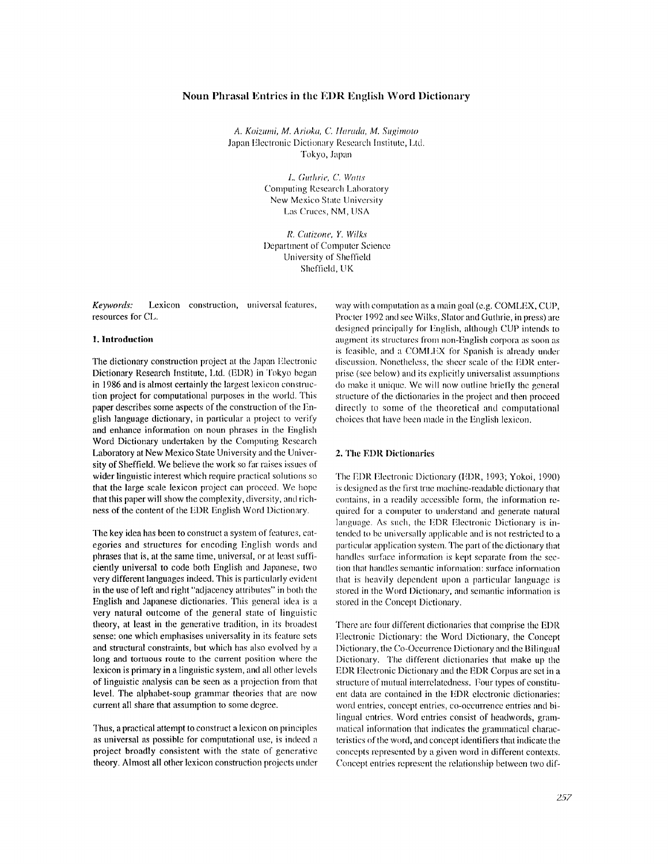## Noun Phrasal Entries in the EDR English Word Dictionary

A. Koizumi, M. Arioka, C. Harada, M. Sugimoto Japan Electronic Dictionary Research Institute, Ltd. Tokyo, Japan

> L. Guthrie, C. Watts Computing Research Laboratory New Mexico State University Las Cruces, NM, USA

R. Catizone, Y. Wilks Department of Computer Science University of Sheffield Sheffield, UK

Keywords: Lexicon construction, universal features, resources for CL.

#### 1. Introduction

The dictionary construction project at the Japan Electronic Dictionary Research Institute, Ltd. (EDR) in Tokyo began in 1986 and is almost certainly the largest lexicon construction project for computational purposes in the world. This paper describes some aspects of the construction of the English language dictionary, in particular a project to verify and enhance information on noun phrases in the English Word Dictionary undertaken by the Computing Research Laboratory at New Mexico State University and the University of Sheffield. We believe the work so far raises issues of wider linguistic interest which require practical solutions so that the large scale lexicon project can proceed. We hope that this paper will show the complexity, diversity, and richness of the content of the EDR English Word Dictionary.

The key idea has been to construct a system of features, categories and structures for encoding English words and phrases that is, at the same time, universal, or at least sufficiently universal to code both English and Japanese, two very different languages indeed. This is particularly evident in the use of left and right "adjacency attributes" in both the English and Japanese dictionaries. This general idea is a very natural outcome of the general state of linguistic theory, at least in the generative tradition, in its broadest sense: one which emphasises universality in its feature sets and structural constraints, but which has also evolved by a long and tortuous route to the current position where the lexicon is primary in a linguistic system, and all other levels of linguistic analysis can be seen as a projection from that level. The alphabet-soup grammar theories that are now current all share that assumption to some degree.

Thus, a practical attempt to construct a lexicon on principles as universal as possible for computational use, is indeed a project broadly consistent with the state of generative theory. Almost all other lexicon construction projects under way with computation as a main goal (e.g. COMLEX, CUP, Procter 1992 and see Wilks, Slator and Guthrie, in press) are designed principally for English, although CUP intends to augment its structures from non-English corpora as soon as is feasible, and a COMLEX for Spanish is already under discussion. Nonetheless, the sheer scale of the EDR enterprise (see below) and its explicitly universalist assumptions do make it unique. We will now outline briefly the general structure of the dictionaries in the project and then proceed directly to some of the theoretical and computational choices that have been made in the English lexicon.

#### 2. The EDR Dictionaries

The EDR Electronic Dictionary (EDR, 1993; Yokoi, 1990). is designed as the first true machine-readable dictionary that contains, in a readily accessible form, the information required for a computer to understand and generate natural language. As such, the EDR Electronic Dictionary is intended to be universally applicable and is not restricted to a particular application system. The part of the dictionary that handles surface information is kept separate from the section that handles semantic information: surface information that is heavily dependent upon a particular language is stored in the Word Dictionary, and semantic information is stored in the Concept Dictionary.

There are four different dictionaries that comprise the EDR Electronic Dictionary: the Word Dictionary, the Concept Dictionary, the Co-Occurrence Dictionary and the Bilingual Dictionary. The different dictionaries that make up the EDR Electronic Dictionary and the EDR Corpus are set in a structure of mutual interrelatedness. Four types of constituent data are contained in the EDR electronic dictionaries: word entries, concept entries, co-occurrence entries and bilingual entries. Word entries consist of headwords, grammatical information that indicates the grammatical characteristics of the word, and concept identifiers that indicate the concepts represented by a given word in different contexts. Concept entries represent the relationship between two dif-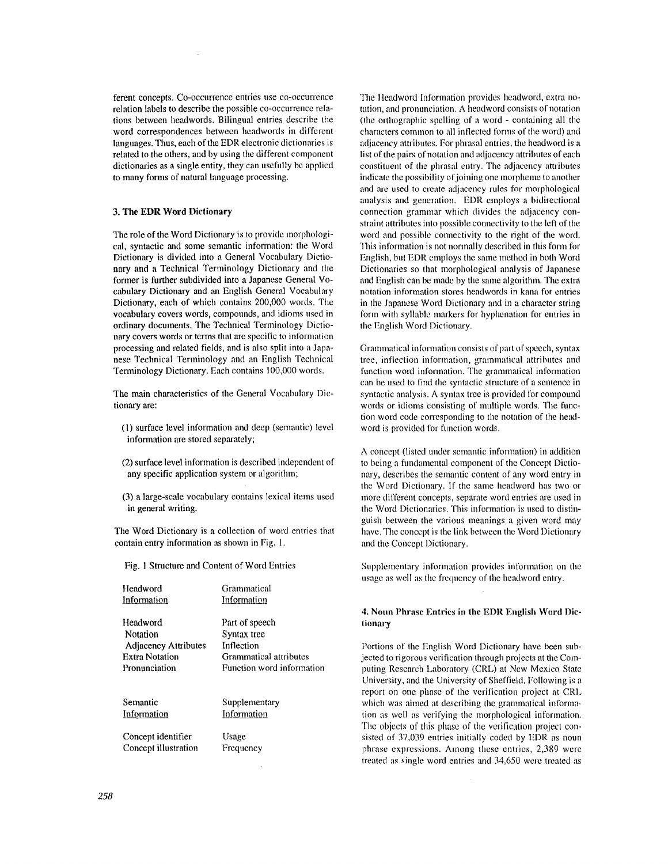ferent concepts. Co-occurrence entries use co-occurrence relation labels to describe the possible co-occurrence relations between headwords. Bilingual entries describe the word correspondences between headwords in different languages. Thus, each of the EDR electronic dictionaries is related to the others, and by using the different component dictionaries as a single entity, they can usefully be applied to many forms of natural language processing.

# **3. The EDR Word Dictionary**

The role of the Word Dictionary is to provide morphological, syntactic and some semantic information: the Word Dictionary is divided into a General Vocabulary Dictionary and a Technical Terminology Dictionary and the former is further subdivided into a Japanese General Vocabulary Dictionary and an English General Vocabulary Dictionary, each of which contains 200,000 words. The vocabulary covers words, compounds, and idioms used in ordinary documents. The Technical Terminology Dictionary covers words or terms that are specific to information processing and related fields, and is also split into a Japanese Technical Terminology and an English Technical Terminology Dictionary. Each contains 100,000 words.

The main characteristics of the General Vocabulary Dictionary are:

- (1) surface level information and deep (semantic) level information are stored separately;
- (2) surface level information is described independent of any specific application system or algorithm;
- (3) a large-scale vocabulary contains lexical items used in general writing.

The Word Dictionary is a collection of word entries that contain entry information as shown in Fig. 1.

Fig. 1 Structure and Content of Word Entries

| Headword                    | Grammatical               |  |
|-----------------------------|---------------------------|--|
| Information                 | Information               |  |
| Headword                    | Part of speech            |  |
| Notation                    | Syntax tree               |  |
| <b>Adjacency Attributes</b> | Inflection                |  |
| Extra Notation              | Grammatical attributes    |  |
| Pronunciation               | Function word information |  |
| Semantic                    | Supplementary             |  |
| Information                 | Information               |  |
| Concept identifier          | Usage                     |  |
| Concept illustration        | Frequency                 |  |

The Headword Information provides headword, extra notation, and pronunciation. A headword consists of notation (the orthographic spelling of a word - containing all the characters common to all inflected forms of the word) and adjacency attributes. For phrasal entries, the headword is a list of the pairs of notation and adjacency attributes of each constituent of the phrasal entry. The adjacency attributes indicate the possibility of joining one morpheme to another and are used to create adjacency rules for morphological analysis and generation. EDR employs a bidirectional connection grammar which divides the adjacency constraint attributes into possible connectivity to the left of the word and possible connectivity to the right of the word. This information is not normally described in this form for English, but EI)R employs the same method in both Word Dictionaries so that morphological analysis of Japanese and English can be made by the same algorithm. The extra notation information stores headwords in kana for entries in the Japanese Word Dictionary and in a character string form with syllable markers for hyphenation for entries in the English Word Dictionary.

Grammatical information consists of part of speech, syntax tree, inflection information, grammatical attributes and function word information. The grammatical information can be used to find the syntactic structure of a sentence in syntactic analysis. A syntax tree is provided for compound words or idioms consisting of multiple words. The fimction word code corresponding to the notation of the beadword is provided for fimction words.

A concept (listed under semantic information) in addition to being a fundamental component of the Concept Dictionary, describes the semantic content of any word entry in the Word Dictionary. If the same headword has two or more different concepts, separate word entries are used in the Word Dictionaries. This information is used to distinguish between the various meanings a given word may have. The concept is the link between the Word Dictionary and the Concept Dictionary.

Supplementary information provides information on the usage as well as the frequency of the headword entry.

# 4. Noun Phrase Entries in the EDR English Word Dictionary

Portions of the English Word Dictionary have been subjected to rigorous verification through proiects at the Computing Research Laboratory (CRL) at New Mexico State University, and the University of Sheffiekt. Following is a report on one phase of the verification project at CRL which was aimed at describing the grammatical information as well as verifying the morphological information. The objects of this phase of the verification project consisted of 37,039 entries initially coded by EDR as noun phrase expressions. Among these entries, 2,389 were treated as single word entries and 34,650 were treated as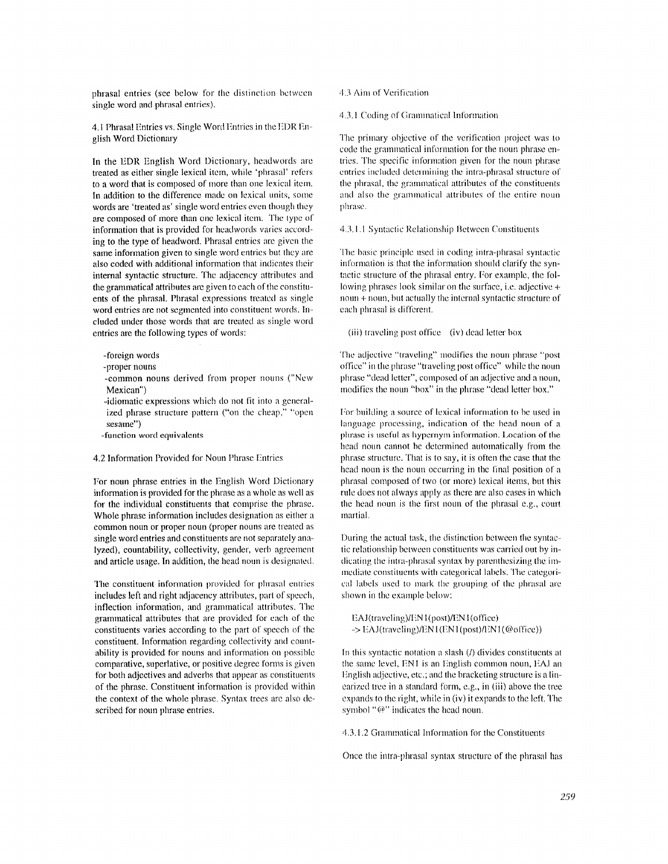phrasal entries (see below for the distinction between  $4.3$  Aim of Verification single word and phrasal entries).

4.1 Phrasal Entries vs. Single Word Entries in the EDR English Word Dictionary

In the EDR English Word Dictionary, headwords are treated as either single lexical item, while 'phrasal' refers to a word that is composed of more than one lexical item. In addition to the difference made on lexical units, some words are 'treated as' single word entries even though they are composed of more than one lexical item. The type of information that is provided for headwords varies according to the type of headword. Phrasal entries are given the same information given to single word entries but they are also coded with additional information that indicates their internal syntactic structure. The adjacency attributes and the grammatical attributes are given to each of the constituents of the phrasal. Phrasal expressions treated as single word entries are not segmented into constituent words. Included under those words that are treated as single word entries are the following types of words:

-foreign words

-proper nouns

-common nouns derived from proper nouns ("New **Mexican")** 

-idiomatic expressions which do not fit into a generalized phrase structure pattern ("on the cheap," "open sesame")

-function word equivalents

4.2 Information Provided for Noun Phrase Entries

For noun phrase entries in the English Word Dictionary information is provided for the phrase as a whole as well as for the individual constituents that comprise the phrase. Whole phrase information includes designation as either a common noun or proper noun (proper nouns are treated as single word entries and constituents are not separately analyzed), countability, collectivity, gender, verb agreement and article usage. In addition, the head noun is designated.

The constituent information provided for phrasal entries includes left and right adjacency attributes, part of speech, inflection information, and grammatical attributes. The grammatical attributes that are provided for each of the constituents varies according to the part of speech of the constituent. Information regarding collectivity and countability is provided for nouns and information on possible comparative, superlative, or positive degree forms is given for both adjectives and adverbs that appear as constituents of the phrase. Constituent information is provided within the context of the whole phrase. Syntax trees are also described for noun phrase entries.

4.3.1 Coding of Grammatical Information

The primary objective of the verification project was to code thc grammatical information for the noun phrase entries. The specific information given for the noun phrase entries included determining the intra-phrasal structure of the phrasal, the grammatical attributes of the constituents and also the grammatical attributes of the entire noun phrase.

4.3.1.1 Syntactic Relationship Between Constituents

The basic principle used in coding imra-phrasal syntactic information is that the information should clarify the syntactic structure of the phrasal entry. For example, the following phrases look similar on the surface, i.e. adjective  $+$ noun + noun, hut actually the internal syntactic structure of each phrasal is different.

(iii) traveling post office (iv) dead letter box

The adjective "traveling" modifies the noun phrase "post office" in the phrase "traveling post office" while the noun phrase "dead letter", composed of an adjective and a noun, modifies the nouu "box" in the phrase "dead letter box."

For building a source of lexical information to be used in language processing, indication of the head noun of a phrase is useful as hypernym information. Location of the head noun cannot be determined automatically from the phrase structure. That is to say, it is often the case that the head noun is the noun occurring in the final position of a phrasal composed of two (or more) lexical items, but this rule does not always apply as there are also cases in which the head noun is the first noun of the phrasal e.g., court martial.

During the actual task, the distinction between the syntactic relationship between constituents was carried out by indicating the intra-phrasal syntax by parenthesizing the immediate constituents with categorical labels. The categorical labels used to mark the grouping of the phrasal are shown in the example below:

EAJ(traveling)/EN1(post)/EN1(office) ~> EAJ(traveling)/EN 1 (F,N 1 (post)/EN 1 (@office))

In this syntactic notation a slash (/) divides constituents at the same level, ENI is an English common noun, EAJ au English adjective, etc.; and lhe bracketing structure is a linearized tree in a standard form, e.g., in (iii) above the tree expands to the right, while in (iv) it expands to the left. The symbol " $\omega$ " indicates the head noun.

4.3.1.2 Grammatical Information for the Constituents

Once the intra-phrasal syntax structure of the phrasal has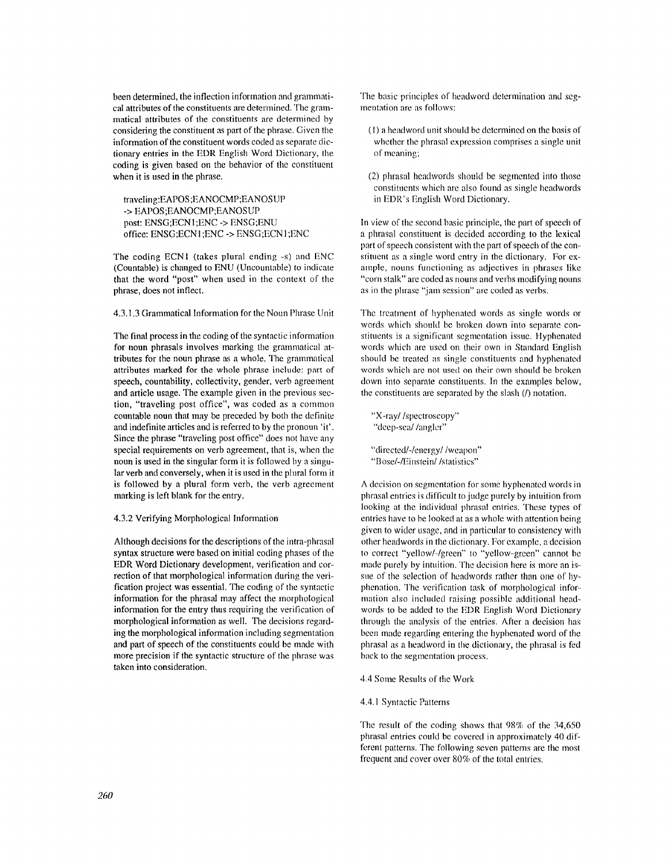been determined, the inflection information and grarmnatical attributes of the constituents are determined. The grammatical attributes of the constituents are determined by considering the constituent as part of the phrase. Given the information of the constituent words coded as separate dictionary entries in the EDR English Word Dictionary, the coding is given based on the behavior of the constituent when it is used in the phrase.

traveling:EAPOS ;EANOCMP;EANOS UP -> EAPOS ;EANOCMP;EANOSUP post: ENSG;ECNI;ENC -> ENSG;ENU office: ENSG;ECN 1 ;ENC -> ENSG;ECN 1 ;ENC

The coding ECN1 (takes plural ending -s) and ENC (Countable) is changed to ENU (Uncountable) to indicate that the word "post" when used in the context of the phrase, does not inflect.

4.3.1.3 Grammatical Information for the Noun Phrase Unit

The final process in the coding of the syntactic information for noun phrasals involves marking the grammatical attributes for the noun phrase as a whole. The grammatical attributes marked for the whole phrase include: part of speech, countability, collectivity, gender, verb agreement and article usage. The example given in the previous section, "traveling post office", was coded as a common countable noun that may be preceded by both the definite and indefinite articles and is referred to by the pronoun 'it'. Since the phrase "traveling post office" does not have any special requirements on verb agreement, that is, when the noun is used in the singular form it is followed by a singular verb and conversely, when it is used in the plural form it is followed by a plural form verb, the verb agreement marking is left blank for the entry.

## 4.3.2 Verifying Morphological Information

Although decisions for the descriptions of the intra-phrasal syntax structure were based on initial coding phases of the EDR Word Dictionary development, verification and correction of that morphological information during the verification project was essential. The coding of the syntactic information for the phrasal may affect the morphological information for the entry thus requiring the verification of morphological information as well. The decisions regarding the morphological information including segmentation and part of speech of the constituents could be made with more precision if the syntactic structure of the phrase was taken into consideration.

The basic principles of headword determination and segmentation are as follows:

- (1) a headword unit should be determined on the basis of whether the phrasal expression comprises a single unit of meaning;
- (2) phrasal headwords shovld be segmented into those constituents which are also found as single headwords in EDR's English Word Dictionary.

In view of the second basic principle, the part of speech of a phrasal constituent is decided according to the lexical part of speech consistent with the part of speech of the constituent as a single word entry in the dictionary. For example, nouns functioning as adjectives in phrases like "corn stalk" are coded as nouns and verbs modifying nouns as in the phrase "jam session" are coded as verbs.

The treatment of hyphenated words as single words or words which should be broken down into separate constituents is a significant segmentation issue. Hyphenated words which are used on their own in Standard English should be treated as single constituents and hyphenated words which are not used on their own should be broken down into separate constituents. In the examples below, the constituents are separated by the slash (/) notation.

```
"X-ray//spectroscopy" 
"deep-sea//angler"
```

```
"directed/-/energy//weapon" 
"Bose/-/Einstein//statistics"
```
A decision on segmentation for some hyphenated words in phrasal entries is difficult to judge purely by intuition from looking at the individual phrasal entries. These types of entries have to be looked at as a whole with attention being given to wider usage, and in particular to consistency with other headwords in the dictionary. For example, a decision to correct "yellow/-/green" to "yellow-green" cannot be made purely by intuition. The decision here is more an issue of the selection of headwords rather than one of hyphenation. The verification task of morphological information also included raising possible additional headwords to be added to the EDR English Word Dictionary through the analysis of the entries. After a decision has been made regarding entering the hyphenated word of the phrasal as a headword in the dictionary, the phrasal is fed back to the segmentation process.

4.4 Some Results of the Work

## 4.4.1 Syntactic Patterns

The result of the coding shows that  $98\%$  of the  $34,650$ phrasal entries could be covered in approximately 40 different patterns. The following seven patterns are the most frequent and cover over 80% of the total entries.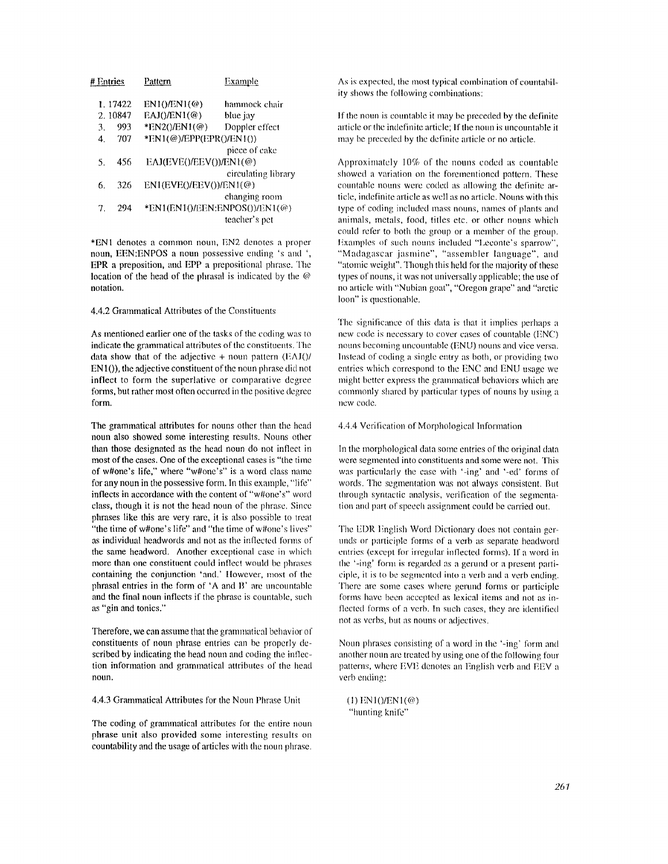| # Entries |         | Pattern                                | Example                          |
|-----------|---------|----------------------------------------|----------------------------------|
|           | 1.17422 | $EN1() / EN1(\omega)$                  | hammock chair                    |
|           | 2.10847 | $EAJ() / EN1(\omega)$                  | blue jay                         |
| 3.        | 993     | $*EN2() / EN1(\mathcal{Q})$            | Doppler effect                   |
| 4.        | 707     | $*EN1(\mathcal{Q})/EPP(EPR() / EN1())$ |                                  |
|           |         |                                        | piece of cake                    |
| 5.        | 456     | EAJ(EVE()/EEV())/EN1(@)                |                                  |
|           |         |                                        | circulating library              |
| 6.        | 326     | $EN1(EVE() / EEV()) / EN1(\omega)$     |                                  |
|           |         |                                        | changing room                    |
| 7.        | 294     |                                        | $*EN1(EN1()/EEN:ENPOS())/EN1(@)$ |
|           |         |                                        | teacher's pet                    |
|           |         |                                        |                                  |

\*ENI denotes a common noun, EN2 denotes a proper noun, EEN:ENPOS a noun possessive ending's and ', EPR a preposition, and EPP a prepositional phrase. The location of the head of the phrasal is indicated by the  $@$ notation.

### 4.4.2 Grammatical Attributes of the Constituents

As mentioned earlier one of the tasks of the coding was to indicate the grammatical attributes of the constituents. The data show that of the adjective  $+$  noun pattern  $(EAI()$ EN 10), the adjective constituent of the noun phrase did not inflect to form the superlative or comparative degree forms, but rather most often occurred in the positive degree form.

The grammatical attributes for nouns other than the head noun also showed some interesting results. Nouns other than those designated as the head noun do not inflect in most of the cases. **One of the** exceptional cases is "the time of w#one's life," where "w#one's" is a word class name for any noun in the possessive form. In this example, "life" inflects in accordance with the content of "w#one's" word class, though it is not the head noun of the phrase. Since phrases like this are very rare, it is also possible to treat "the time of w#one's life" and "the time of w#one's lives" as individual headwords and not as the inflected forms of **the** same headword. Another exceptional case in which more than one constituent could inflect would be phrases containing the conjunction 'and.' llowever, most of the phrasal entries in the form of 'A and B' are uncountable and the final noun inflects if the phrase is countable, such as **"gin and** tonics."

Therefore, we can assume that the grammatical behavior of constituents of noun phrase entries can be properly described by indicating the head noun and coding the inflection information and grammatical attributes of the head **noun,** 

4.4.3 Grammatical Attributes for the Noun Phrase Unit

The coding of grammatical attributes for the entire noun phrase unit also provided some interesting results on countability and the usage of articles with the noun phrase.

As is expected, the most typical combination of countability shows the following combinations:

If the noun is countable it may be preceded by the definite article or the indefinite article; If the noun is uncountable it may be preceded by the definite article or no article.

Approximately 10% of the nouns coded as countable showed a variation on the forementioned pattern. These countable nouns were coded as allowing the definite article, indefinite article as well as no article. Nouns with this type of coding included mass nouns, names of plants and animals, metals, food, titles etc. or other nouns which could refer to both the group or a member of the group. Examples of such nouns included "Leconte's sparrow". "Madagascar jasmine", "assembler language", and "atomic weight". Though this held for the majority of these types of nouns, it was not universally applicable; the use of no article with "Nubian goat", "Oregon grape" and "arctic loon" is questionable.

The significance of this data is that it implies perhaps a new code is necessary to cover cases of countable (ENC) nouns becoming uncountable (ENU) nouns and vice versa. Instead of coding a single entry as both, or providing two entries which correspond to the ENC and ENU usage we might better express the grammatical behaviors which are commonly shared by particular types of nouns by using a new code,

#### 4.4.4 Verification of Morphological hfformation

In the morphological data some entries of the original data were segmented into constituents and some were not. This was particularly the case with '-ing' and '-ed' forms of words. The segmentation was not always consistent. But through syntactic analysis, verification of the segmentation and part of speech assignment could be carried out.

The EDR English Word Dictionary does not contain gerunds or participle forms of a verb as separate headword entries (except for irregular inflected forms). If a word in the '-ing' form is regarded as a gerund or a present participle, it is to be segmented into a verb and a verb ending. There are some cases where gerund forms or participle forms have been accepted as lexical items and not as inflected forms of a verb. In such cases, they are identified not as verbs, but as nouns or adjectives.

Noun phrases consisting of a word in the '-ing' form anti another noun are treated by using one of the following four patterns, where EVE denotes an English verb and EEV a verb ending:

 $(1)$  EN1()/EN1(@) "hunting knife"